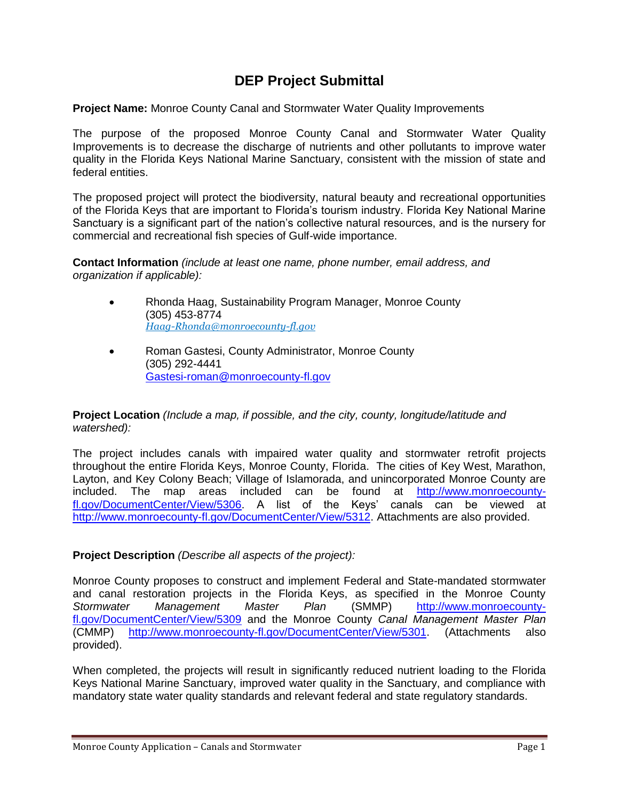# **DEP Project Submittal**

**Project Name:** Monroe County Canal and Stormwater Water Quality Improvements

The purpose of the proposed Monroe County Canal and Stormwater Water Quality Improvements is to decrease the discharge of nutrients and other pollutants to improve water quality in the Florida Keys National Marine Sanctuary, consistent with the mission of state and federal entities.

The proposed project will protect the biodiversity, natural beauty and recreational opportunities of the Florida Keys that are important to Florida's tourism industry. Florida Key National Marine Sanctuary is a significant part of the nation's collective natural resources, and is the nursery for commercial and recreational fish species of Gulf-wide importance.

**Contact Information** *(include at least one name, phone number, email address, and organization if applicable):* 

- Rhonda Haag, Sustainability Program Manager, Monroe County (305) 453-8774 *[Haag-Rhonda@monroecounty-fl.gov](mailto:Haag-Rhonda@monroecounty-fl.gov)*
- Roman Gastesi, County Administrator, Monroe County (305) 292-4441 [Gastesi-roman@monroecounty-fl.gov](mailto:Gastesi-roman@monroecounty-fl.gov)

**Project Location** *(Include a map, if possible, and the city, county, longitude/latitude and watershed):*

The project includes canals with impaired water quality and stormwater retrofit projects throughout the entire Florida Keys, Monroe County, Florida. The cities of Key West, Marathon, Layton, and Key Colony Beach; Village of Islamorada, and unincorporated Monroe County are included. The map areas included can be found at [http://www.monroecounty](http://www.monroecounty-fl.gov/DocumentCenter/View/5306)[fl.gov/DocumentCenter/View/5306.](http://www.monroecounty-fl.gov/DocumentCenter/View/5306) A list of the Keys' canals can be viewed at [http://www.monroecounty-fl.gov/DocumentCenter/View/5312.](http://www.monroecounty-fl.gov/DocumentCenter/View/5312) Attachments are also provided.

## **Project Description** *(Describe all aspects of the project):*

Monroe County proposes to construct and implement Federal and State-mandated stormwater and canal restoration projects in the Florida Keys, as specified in the Monroe County *Stormwater Management Master Plan* (SMMP) [http://www.monroecounty](http://www.monroecounty-fl.gov/DocumentCenter/View/5309)[fl.gov/DocumentCenter/View/5309](http://www.monroecounty-fl.gov/DocumentCenter/View/5309) and the Monroe County *Canal Management Master Plan* (CMMP) [http://www.monroecounty-fl.gov/DocumentCenter/View/5301.](http://www.monroecounty-fl.gov/DocumentCenter/View/5301) (Attachments also provided).

When completed, the projects will result in significantly reduced nutrient loading to the Florida Keys National Marine Sanctuary, improved water quality in the Sanctuary, and compliance with mandatory state water quality standards and relevant federal and state regulatory standards.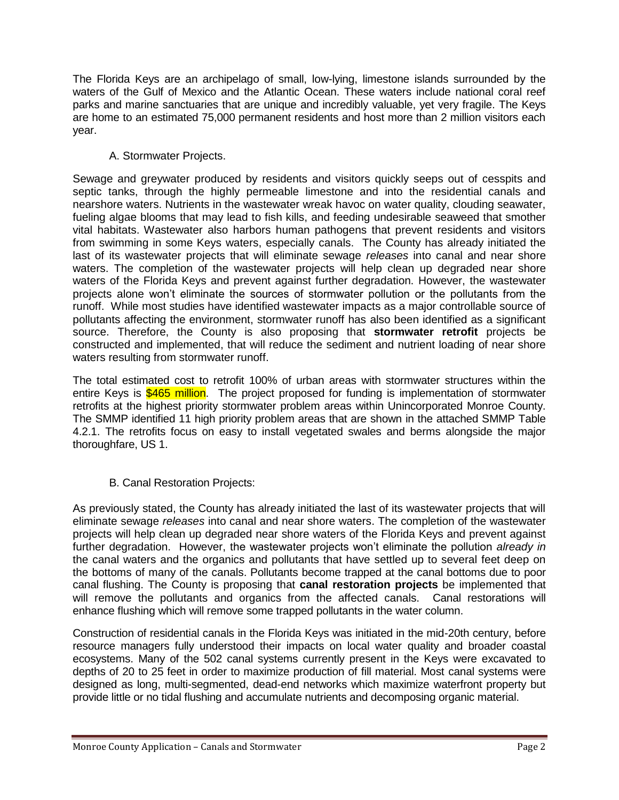The Florida Keys are an archipelago of small, low-lying, limestone islands surrounded by the waters of the Gulf of Mexico and the Atlantic Ocean. These waters include national coral reef parks and marine sanctuaries that are unique and incredibly valuable, yet very fragile. The Keys are home to an estimated 75,000 permanent residents and host more than 2 million visitors each year.

# A. Stormwater Projects.

Sewage and greywater produced by residents and visitors quickly seeps out of cesspits and septic tanks, through the highly permeable limestone and into the residential canals and nearshore waters. Nutrients in the wastewater wreak havoc on water quality, clouding seawater, fueling algae blooms that may lead to fish kills, and feeding undesirable seaweed that smother vital habitats. Wastewater also harbors human pathogens that prevent residents and visitors from swimming in some Keys waters, especially canals. The County has already initiated the last of its wastewater projects that will eliminate sewage *releases* into canal and near shore waters. The completion of the wastewater projects will help clean up degraded near shore waters of the Florida Keys and prevent against further degradation. However, the wastewater projects alone won't eliminate the sources of stormwater pollution or the pollutants from the runoff. While most studies have identified wastewater impacts as a major controllable source of pollutants affecting the environment, stormwater runoff has also been identified as a significant source. Therefore, the County is also proposing that **stormwater retrofit** projects be constructed and implemented, that will reduce the sediment and nutrient loading of near shore waters resulting from stormwater runoff.

The total estimated cost to retrofit 100% of urban areas with stormwater structures within the entire Keys is \$465 million. The project proposed for funding is implementation of stormwater retrofits at the highest priority stormwater problem areas within Unincorporated Monroe County. The SMMP identified 11 high priority problem areas that are shown in the attached SMMP Table 4.2.1. The retrofits focus on easy to install vegetated swales and berms alongside the major thoroughfare, US 1.

# B. Canal Restoration Projects:

As previously stated, the County has already initiated the last of its wastewater projects that will eliminate sewage *releases* into canal and near shore waters. The completion of the wastewater projects will help clean up degraded near shore waters of the Florida Keys and prevent against further degradation. However, the wastewater projects won't eliminate the pollution *already in* the canal waters and the organics and pollutants that have settled up to several feet deep on the bottoms of many of the canals. Pollutants become trapped at the canal bottoms due to poor canal flushing. The County is proposing that **canal restoration projects** be implemented that will remove the pollutants and organics from the affected canals. Canal restorations will enhance flushing which will remove some trapped pollutants in the water column.

Construction of residential canals in the Florida Keys was initiated in the mid-20th century, before resource managers fully understood their impacts on local water quality and broader coastal ecosystems. Many of the 502 canal systems currently present in the Keys were excavated to depths of 20 to 25 feet in order to maximize production of fill material. Most canal systems were designed as long, multi-segmented, dead-end networks which maximize waterfront property but provide little or no tidal flushing and accumulate nutrients and decomposing organic material.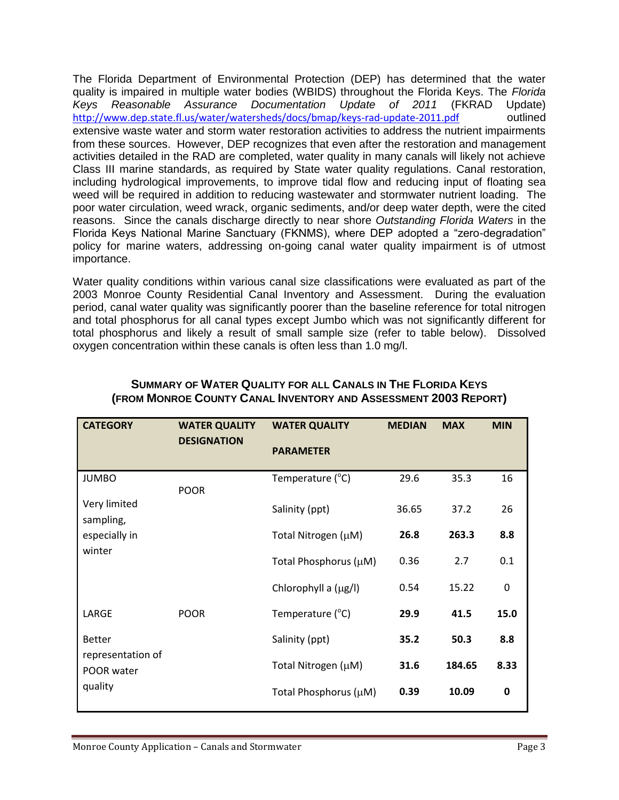The Florida Department of Environmental Protection (DEP) has determined that the water quality is impaired in multiple water bodies (WBIDS) throughout the Florida Keys. The *Florida Keys Reasonable Assurance Documentation Update of 2011* (FKRAD Update) <http://www.dep.state.fl.us/water/watersheds/docs/bmap/keys-rad-update-2011.pdf> outlined extensive waste water and storm water restoration activities to address the nutrient impairments from these sources. However, DEP recognizes that even after the restoration and management activities detailed in the RAD are completed, water quality in many canals will likely not achieve Class III marine standards, as required by State water quality regulations. Canal restoration, including hydrological improvements, to improve tidal flow and reducing input of floating sea weed will be required in addition to reducing wastewater and stormwater nutrient loading. The poor water circulation, weed wrack, organic sediments, and/or deep water depth, were the cited reasons. Since the canals discharge directly to near shore *Outstanding Florida Waters* in the Florida Keys National Marine Sanctuary (FKNMS), where DEP adopted a "zero-degradation" policy for marine waters, addressing on-going canal water quality impairment is of utmost importance.

Water quality conditions within various canal size classifications were evaluated as part of the 2003 Monroe County Residential Canal Inventory and Assessment. During the evaluation period, canal water quality was significantly poorer than the baseline reference for total nitrogen and total phosphorus for all canal types except Jumbo which was not significantly different for total phosphorus and likely a result of small sample size (refer to table below). Dissolved oxygen concentration within these canals is often less than 1.0 mg/l.

| <b>CATEGORY</b>                                             | <b>WATER QUALITY</b><br><b>WATER QUALITY</b> |                           | <b>MEDIAN</b> | <b>MAX</b> | <b>MIN</b> |  |  |
|-------------------------------------------------------------|----------------------------------------------|---------------------------|---------------|------------|------------|--|--|
| <b>DESIGNATION</b>                                          |                                              | <b>PARAMETER</b>          |               |            |            |  |  |
| <b>JUMBO</b>                                                | <b>POOR</b>                                  | Temperature $(^{\circ}C)$ | 29.6          | 35.3       | 16         |  |  |
| Very limited<br>sampling,                                   |                                              | Salinity (ppt)            | 36.65         | 37.2       | 26         |  |  |
| especially in<br>winter                                     |                                              | Total Nitrogen (µM)       | 26.8          | 263.3      | 8.8        |  |  |
|                                                             |                                              | Total Phosphorus (µM)     | 0.36          | 2.7        | 0.1        |  |  |
|                                                             |                                              | Chlorophyll a (µg/l)      | 0.54          | 15.22      | 0          |  |  |
| LARGE                                                       | <b>POOR</b>                                  | Temperature $(^{\circ}C)$ | 29.9          | 41.5       | 15.0       |  |  |
| <b>Better</b><br>representation of<br>POOR water<br>quality |                                              | Salinity (ppt)            | 35.2          | 50.3       | 8.8        |  |  |
|                                                             |                                              | Total Nitrogen (µM)       | 31.6          | 184.65     | 8.33       |  |  |
|                                                             |                                              | Total Phosphorus (µM)     | 0.39          | 10.09      | 0          |  |  |

# **SUMMARY OF WATER QUALITY FOR ALL CANALS IN THE FLORIDA KEYS (FROM MONROE COUNTY CANAL INVENTORY AND ASSESSMENT 2003 REPORT)**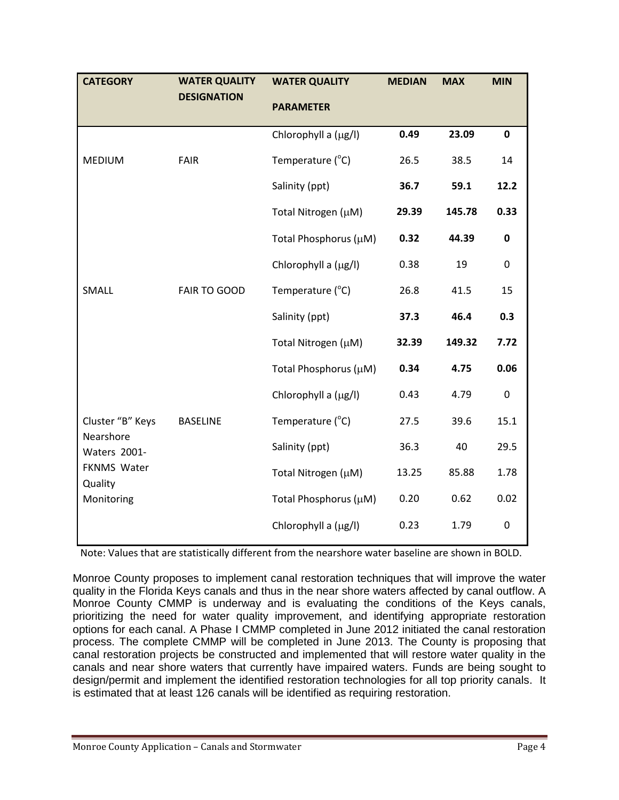| <b>CATEGORY</b>                                                                       | <b>WATER QUALITY</b> | <b>WATER QUALITY</b>  | <b>MEDIAN</b> | <b>MAX</b> | <b>MIN</b>  |
|---------------------------------------------------------------------------------------|----------------------|-----------------------|---------------|------------|-------------|
|                                                                                       | <b>DESIGNATION</b>   | <b>PARAMETER</b>      |               |            |             |
|                                                                                       |                      | Chlorophyll a (µg/l)  | 0.49          | 23.09      | $\mathbf 0$ |
| <b>MEDIUM</b>                                                                         | FAIR                 | Temperature (°C)      | 26.5          | 38.5       | 14          |
|                                                                                       |                      | Salinity (ppt)        | 36.7          | 59.1       | 12.2        |
|                                                                                       |                      | Total Nitrogen (µM)   | 29.39         | 145.78     | 0.33        |
|                                                                                       |                      | Total Phosphorus (µM) | 0.32          | 44.39      | 0           |
|                                                                                       |                      | Chlorophyll a (µg/l)  | 0.38          | 19         | $\pmb{0}$   |
| SMALL                                                                                 | FAIR TO GOOD         | Temperature (°C)      | 26.8          | 41.5       | 15          |
|                                                                                       |                      | Salinity (ppt)        | 37.3          | 46.4       | 0.3         |
|                                                                                       |                      | Total Nitrogen (µM)   | 32.39         | 149.32     | 7.72        |
|                                                                                       |                      | Total Phosphorus (µM) | 0.34          | 4.75       | 0.06        |
|                                                                                       |                      | Chlorophyll a (µg/l)  | 0.43          | 4.79       | $\pmb{0}$   |
| Cluster "B" Keys<br>Nearshore<br>Waters 2001-<br>FKNMS Water<br>Quality<br>Monitoring | <b>BASELINE</b>      | Temperature (°C)      | 27.5          | 39.6       | 15.1        |
|                                                                                       |                      | Salinity (ppt)        | 36.3          | 40         | 29.5        |
|                                                                                       |                      | Total Nitrogen (µM)   | 13.25         | 85.88      | 1.78        |
|                                                                                       |                      | Total Phosphorus (µM) | 0.20          | 0.62       | 0.02        |
|                                                                                       |                      | Chlorophyll a (µg/l)  | 0.23          | 1.79       | $\pmb{0}$   |

Note: Values that are statistically different from the nearshore water baseline are shown in BOLD.

Monroe County proposes to implement canal restoration techniques that will improve the water quality in the Florida Keys canals and thus in the near shore waters affected by canal outflow. A Monroe County CMMP is underway and is evaluating the conditions of the Keys canals, prioritizing the need for water quality improvement, and identifying appropriate restoration options for each canal. A Phase I CMMP completed in June 2012 initiated the canal restoration process. The complete CMMP will be completed in June 2013. The County is proposing that canal restoration projects be constructed and implemented that will restore water quality in the canals and near shore waters that currently have impaired waters. Funds are being sought to design/permit and implement the identified restoration technologies for all top priority canals. It is estimated that at least 126 canals will be identified as requiring restoration.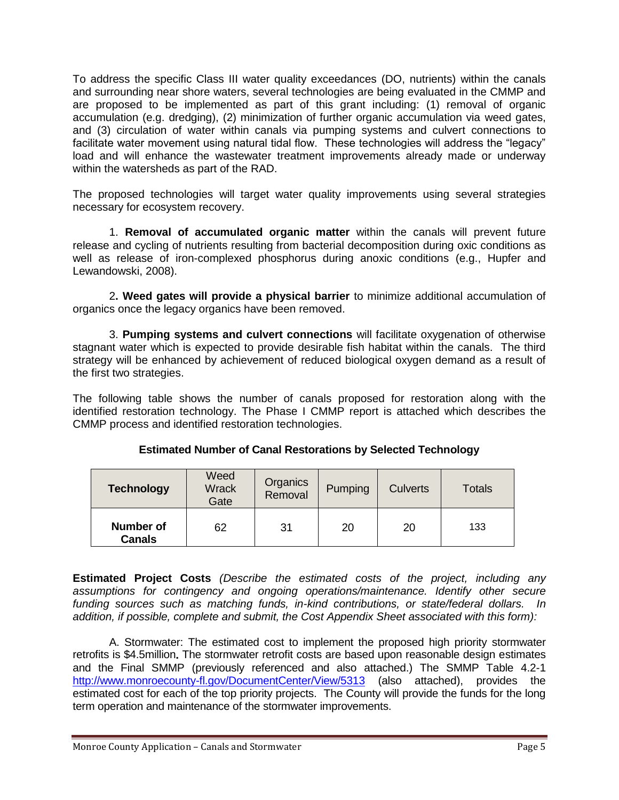To address the specific Class III water quality exceedances (DO, nutrients) within the canals and surrounding near shore waters, several technologies are being evaluated in the CMMP and are proposed to be implemented as part of this grant including: (1) removal of organic accumulation (e.g. dredging), (2) minimization of further organic accumulation via weed gates, and (3) circulation of water within canals via pumping systems and culvert connections to facilitate water movement using natural tidal flow. These technologies will address the "legacy" load and will enhance the wastewater treatment improvements already made or underway within the watersheds as part of the RAD.

The proposed technologies will target water quality improvements using several strategies necessary for ecosystem recovery.

1. **Removal of accumulated organic matter** within the canals will prevent future release and cycling of nutrients resulting from bacterial decomposition during oxic conditions as well as release of iron-complexed phosphorus during anoxic conditions (e.g., Hupfer and Lewandowski, 2008).

2**. Weed gates will provide a physical barrier** to minimize additional accumulation of organics once the legacy organics have been removed.

3. **Pumping systems and culvert connections** will facilitate oxygenation of otherwise stagnant water which is expected to provide desirable fish habitat within the canals. The third strategy will be enhanced by achievement of reduced biological oxygen demand as a result of the first two strategies.

The following table shows the number of canals proposed for restoration along with the identified restoration technology. The Phase I CMMP report is attached which describes the CMMP process and identified restoration technologies.

| <b>Technology</b>                 | Weed<br><b>Wrack</b><br>Gate | Organics<br>Removal | Pumping | <b>Culverts</b> | <b>Totals</b> |
|-----------------------------------|------------------------------|---------------------|---------|-----------------|---------------|
| <b>Number of</b><br><b>Canals</b> | 62                           | 31                  | 20      | 20              | 133           |

**Estimated Project Costs** *(Describe the estimated costs of the project, including any assumptions for contingency and ongoing operations/maintenance. Identify other secure funding sources such as matching funds, in-kind contributions, or state/federal dollars. In addition, if possible, complete and submit, the Cost Appendix Sheet associated with this form):*

A. Stormwater: The estimated cost to implement the proposed high priority stormwater retrofits is \$4.5million**.** The stormwater retrofit costs are based upon reasonable design estimates and the Final SMMP (previously referenced and also attached.) The SMMP Table 4.2-1 <http://www.monroecounty-fl.gov/DocumentCenter/View/5313> (also attached), provides the estimated cost for each of the top priority projects. The County will provide the funds for the long term operation and maintenance of the stormwater improvements.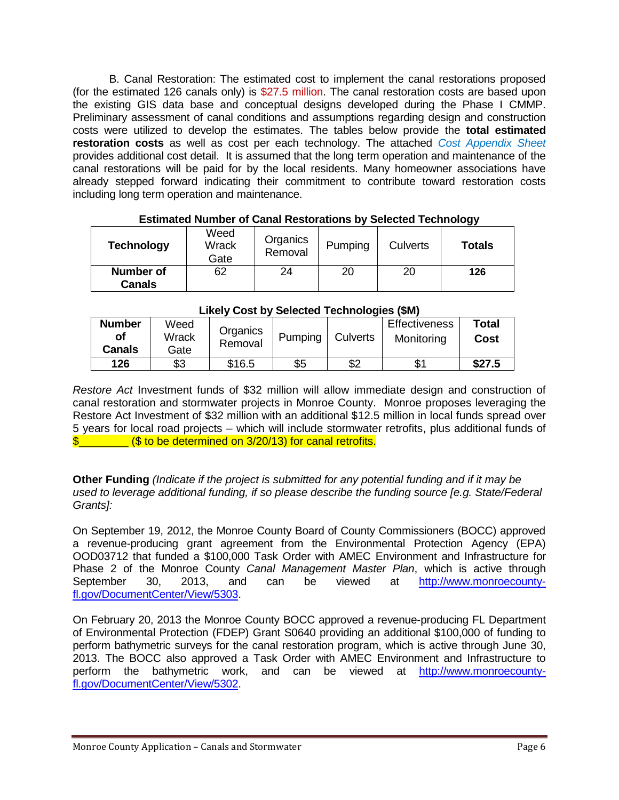B. Canal Restoration: The estimated cost to implement the canal restorations proposed (for the estimated 126 canals only) is \$27.5 million. The canal restoration costs are based upon the existing GIS data base and conceptual designs developed during the Phase I CMMP. Preliminary assessment of canal conditions and assumptions regarding design and construction costs were utilized to develop the estimates. The tables below provide the **total estimated restoration costs** as well as cost per each technology. The attached *Cost Appendix Sheet* provides additional cost detail. It is assumed that the long term operation and maintenance of the canal restorations will be paid for by the local residents. Many homeowner associations have already stepped forward indicating their commitment to contribute toward restoration costs including long term operation and maintenance.

| <b>Technology</b>          | Weed<br>Wrack<br>Gate | Organics<br>Removal | Pumping | <b>Culverts</b> | <b>Totals</b> |
|----------------------------|-----------------------|---------------------|---------|-----------------|---------------|
| Number of<br><b>Canals</b> | 62                    | 24                  | 20      | 20              | 126           |

## **Estimated Number of Canal Restorations by Selected Technology**

| LINGTY OUST DY OCICOLCUTIONING (WITH |       |          |         |                 |                      |        |  |  |
|--------------------------------------|-------|----------|---------|-----------------|----------------------|--------|--|--|
| <b>Number</b>                        | Weed  | Organics |         |                 | <b>Effectiveness</b> | Total  |  |  |
| οf                                   | Wrack | Removal  | Pumping | <b>Culverts</b> | Monitoring           | Cost   |  |  |
| Canals                               | Gate  |          |         |                 |                      |        |  |  |
| 126                                  | \$3   | \$16.5   | \$5     | \$2             |                      | \$27.5 |  |  |

#### **Likely Cost by Selected Technologies (\$M)**

*Restore Act* Investment funds of \$32 million will allow immediate design and construction of canal restoration and stormwater projects in Monroe County. Monroe proposes leveraging the Restore Act Investment of \$32 million with an additional \$12.5 million in local funds spread over 5 years for local road projects – which will include stormwater retrofits, plus additional funds of \$\_\_\_\_\_\_\_\_ (\$ to be determined on 3/20/13) for canal retrofits.

**Other Funding** *(Indicate if the project is submitted for any potential funding and if it may be used to leverage additional funding, if so please describe the funding source [e.g. State/Federal Grants]:*

On September 19, 2012, the Monroe County Board of County Commissioners (BOCC) approved a revenue-producing grant agreement from the Environmental Protection Agency (EPA) OOD03712 that funded a \$100,000 Task Order with AMEC Environment and Infrastructure for Phase 2 of the Monroe County *Canal Management Master Plan*, which is active through September 30, 2013, and can be viewed at [http://www.monroecounty](http://www.monroecounty-fl.gov/DocumentCenter/View/5303)[fl.gov/DocumentCenter/View/5303.](http://www.monroecounty-fl.gov/DocumentCenter/View/5303)

On February 20, 2013 the Monroe County BOCC approved a revenue-producing FL Department of Environmental Protection (FDEP) Grant S0640 providing an additional \$100,000 of funding to perform bathymetric surveys for the canal restoration program, which is active through June 30, 2013. The BOCC also approved a Task Order with AMEC Environment and Infrastructure to perform the bathymetric work, and can be viewed at [http://www.monroecounty](http://www.monroecounty-fl.gov/DocumentCenter/View/5302)[fl.gov/DocumentCenter/View/5302.](http://www.monroecounty-fl.gov/DocumentCenter/View/5302)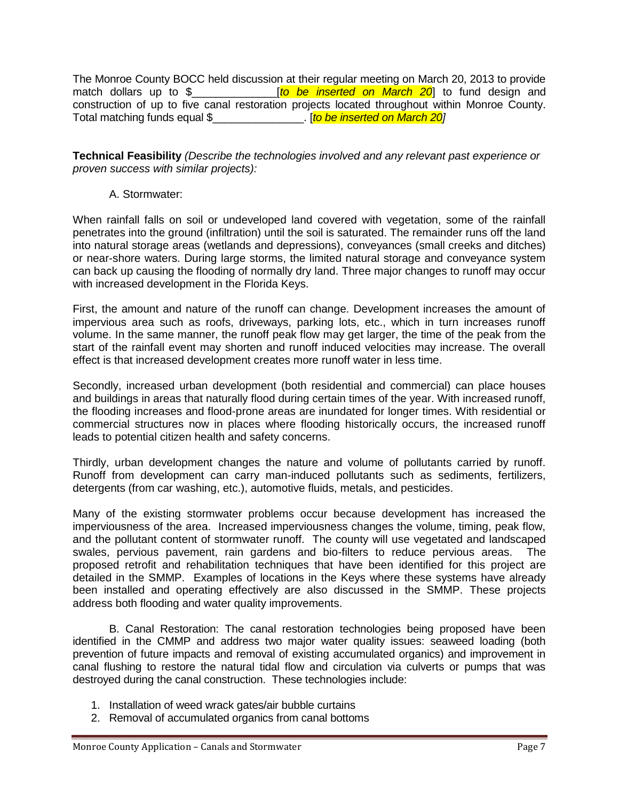The Monroe County BOCC held discussion at their regular meeting on March 20, 2013 to provide match dollars up to \$\_\_\_\_\_\_\_\_\_\_\_\_\_\_[*to be inserted on March 20*] to fund design and construction of up to five canal restoration projects located throughout within Monroe County. Total matching funds equal \$  $\frac{1}{20}$ 

**Technical Feasibility** *(Describe the technologies involved and any relevant past experience or proven success with similar projects):*

A. Stormwater:

When rainfall falls on soil or undeveloped land covered with vegetation, some of the rainfall penetrates into the ground (infiltration) until the soil is saturated. The remainder runs off the land into natural storage areas (wetlands and depressions), conveyances (small creeks and ditches) or near-shore waters. During large storms, the limited natural storage and conveyance system can back up causing the flooding of normally dry land. Three major changes to runoff may occur with increased development in the Florida Keys.

First, the amount and nature of the runoff can change. Development increases the amount of impervious area such as roofs, driveways, parking lots, etc., which in turn increases runoff volume. In the same manner, the runoff peak flow may get larger, the time of the peak from the start of the rainfall event may shorten and runoff induced velocities may increase. The overall effect is that increased development creates more runoff water in less time.

Secondly, increased urban development (both residential and commercial) can place houses and buildings in areas that naturally flood during certain times of the year. With increased runoff, the flooding increases and flood-prone areas are inundated for longer times. With residential or commercial structures now in places where flooding historically occurs, the increased runoff leads to potential citizen health and safety concerns.

Thirdly, urban development changes the nature and volume of pollutants carried by runoff. Runoff from development can carry man-induced pollutants such as sediments, fertilizers, detergents (from car washing, etc.), automotive fluids, metals, and pesticides.

Many of the existing stormwater problems occur because development has increased the imperviousness of the area. Increased imperviousness changes the volume, timing, peak flow, and the pollutant content of stormwater runoff. The county will use vegetated and landscaped swales, pervious pavement, rain gardens and bio-filters to reduce pervious areas. The proposed retrofit and rehabilitation techniques that have been identified for this project are detailed in the SMMP. Examples of locations in the Keys where these systems have already been installed and operating effectively are also discussed in the SMMP. These projects address both flooding and water quality improvements.

B. Canal Restoration: The canal restoration technologies being proposed have been identified in the CMMP and address two major water quality issues: seaweed loading (both prevention of future impacts and removal of existing accumulated organics) and improvement in canal flushing to restore the natural tidal flow and circulation via culverts or pumps that was destroyed during the canal construction. These technologies include:

- 1. Installation of weed wrack gates/air bubble curtains
- 2. Removal of accumulated organics from canal bottoms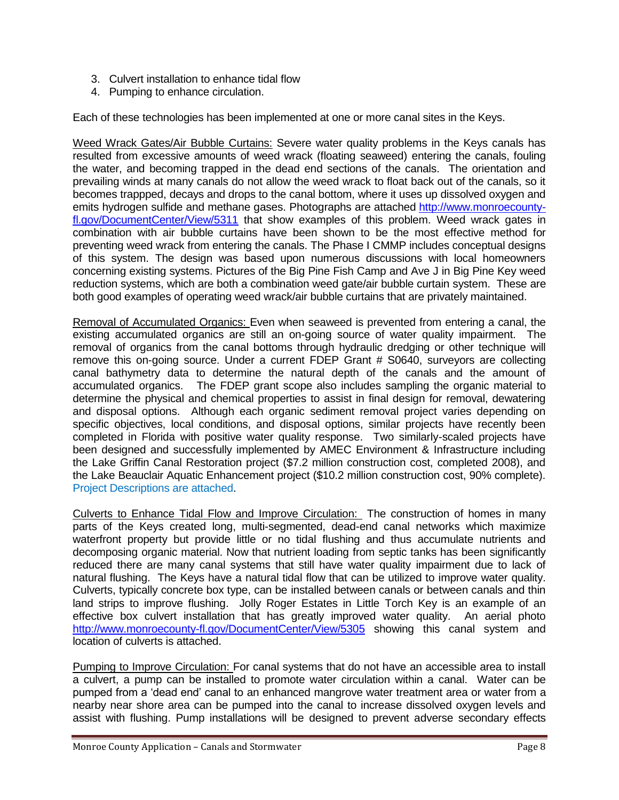- 3. Culvert installation to enhance tidal flow
- 4. Pumping to enhance circulation.

Each of these technologies has been implemented at one or more canal sites in the Keys.

Weed Wrack Gates/Air Bubble Curtains: Severe water quality problems in the Keys canals has resulted from excessive amounts of weed wrack (floating seaweed) entering the canals, fouling the water, and becoming trapped in the dead end sections of the canals. The orientation and prevailing winds at many canals do not allow the weed wrack to float back out of the canals, so it becomes trappped, decays and drops to the canal bottom, where it uses up dissolved oxygen and emits hydrogen sulfide and methane gases. Photographs are attached [http://www.monroecounty](http://www.monroecounty-fl.gov/DocumentCenter/View/5311)[fl.gov/DocumentCenter/View/5311](http://www.monroecounty-fl.gov/DocumentCenter/View/5311) that show examples of this problem. Weed wrack gates in combination with air bubble curtains have been shown to be the most effective method for preventing weed wrack from entering the canals. The Phase I CMMP includes conceptual designs of this system. The design was based upon numerous discussions with local homeowners concerning existing systems. Pictures of the Big Pine Fish Camp and Ave J in Big Pine Key weed reduction systems, which are both a combination weed gate/air bubble curtain system. These are both good examples of operating weed wrack/air bubble curtains that are privately maintained.

Removal of Accumulated Organics: Even when seaweed is prevented from entering a canal, the existing accumulated organics are still an on-going source of water quality impairment. The removal of organics from the canal bottoms through hydraulic dredging or other technique will remove this on-going source. Under a current FDEP Grant # S0640, surveyors are collecting canal bathymetry data to determine the natural depth of the canals and the amount of accumulated organics. The FDEP grant scope also includes sampling the organic material to determine the physical and chemical properties to assist in final design for removal, dewatering and disposal options. Although each organic sediment removal project varies depending on specific objectives, local conditions, and disposal options, similar projects have recently been completed in Florida with positive water quality response. Two similarly-scaled projects have been designed and successfully implemented by AMEC Environment & Infrastructure including the Lake Griffin Canal Restoration project (\$7.2 million construction cost, completed 2008), and the Lake Beauclair Aquatic Enhancement project (\$10.2 million construction cost, 90% complete). Project Descriptions are attached.

Culverts to Enhance Tidal Flow and Improve Circulation: The construction of homes in many parts of the Keys created long, multi-segmented, dead-end canal networks which maximize waterfront property but provide little or no tidal flushing and thus accumulate nutrients and decomposing organic material. Now that nutrient loading from septic tanks has been significantly reduced there are many canal systems that still have water quality impairment due to lack of natural flushing. The Keys have a natural tidal flow that can be utilized to improve water quality. Culverts, typically concrete box type, can be installed between canals or between canals and thin land strips to improve flushing. Jolly Roger Estates in Little Torch Key is an example of an effective box culvert installation that has greatly improved water quality. An aerial photo <http://www.monroecounty-fl.gov/DocumentCenter/View/5305> showing this canal system and location of culverts is attached.

Pumping to Improve Circulation: For canal systems that do not have an accessible area to install a culvert, a pump can be installed to promote water circulation within a canal. Water can be pumped from a 'dead end' canal to an enhanced mangrove water treatment area or water from a nearby near shore area can be pumped into the canal to increase dissolved oxygen levels and assist with flushing. Pump installations will be designed to prevent adverse secondary effects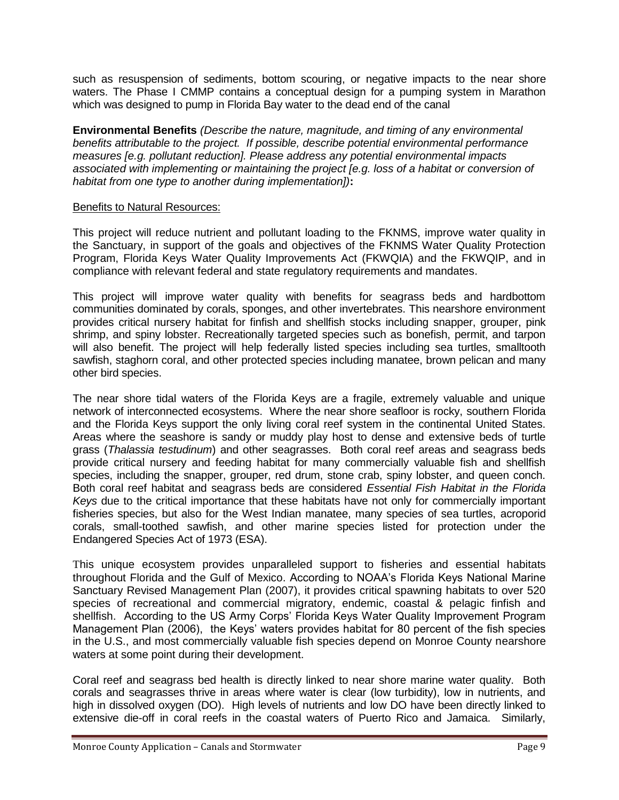such as resuspension of sediments, bottom scouring, or negative impacts to the near shore waters. The Phase I CMMP contains a conceptual design for a pumping system in Marathon which was designed to pump in Florida Bay water to the dead end of the canal

**Environmental Benefits** *(Describe the nature, magnitude, and timing of any environmental benefits attributable to the project. If possible, describe potential environmental performance measures [e.g. pollutant reduction]. Please address any potential environmental impacts associated with implementing or maintaining the project [e.g. loss of a habitat or conversion of habitat from one type to another during implementation])***:**

#### Benefits to Natural Resources:

This project will reduce nutrient and pollutant loading to the FKNMS, improve water quality in the Sanctuary, in support of the goals and objectives of the FKNMS Water Quality Protection Program, Florida Keys Water Quality Improvements Act (FKWQIA) and the FKWQIP, and in compliance with relevant federal and state regulatory requirements and mandates.

This project will improve water quality with benefits for seagrass beds and hardbottom communities dominated by corals, sponges, and other invertebrates. This nearshore environment provides critical nursery habitat for finfish and shellfish stocks including snapper, grouper, pink shrimp, and spiny lobster. Recreationally targeted species such as bonefish, permit, and tarpon will also benefit. The project will help federally listed species including sea turtles, smalltooth sawfish, staghorn coral, and other protected species including manatee, brown pelican and many other bird species.

The near shore tidal waters of the Florida Keys are a fragile, extremely valuable and unique network of interconnected ecosystems. Where the near shore seafloor is rocky, southern Florida and the Florida Keys support the only living coral reef system in the continental United States. Areas where the seashore is sandy or muddy play host to dense and extensive beds of turtle grass (*Thalassia testudinum*) and other seagrasses. Both coral reef areas and seagrass beds provide critical nursery and feeding habitat for many commercially valuable fish and shellfish species, including the snapper, grouper, red drum, stone crab, spiny lobster, and queen conch. Both coral reef habitat and seagrass beds are considered *Essential Fish Habitat in the Florida Keys* due to the critical importance that these habitats have not only for commercially important fisheries species, but also for the West Indian manatee, many species of sea turtles, acroporid corals, small-toothed sawfish, and other marine species listed for protection under the Endangered Species Act of 1973 (ESA).

This unique ecosystem provides unparalleled support to fisheries and essential habitats throughout Florida and the Gulf of Mexico. According to NOAA's Florida Keys National Marine Sanctuary Revised Management Plan (2007), it provides critical spawning habitats to over 520 species of recreational and commercial migratory, endemic, coastal & pelagic finfish and shellfish. According to the US Army Corps' Florida Keys Water Quality Improvement Program Management Plan (2006), the Keys' waters provides habitat for 80 percent of the fish species in the U.S., and most commercially valuable fish species depend on Monroe County nearshore waters at some point during their development.

Coral reef and seagrass bed health is directly linked to near shore marine water quality. Both corals and seagrasses thrive in areas where water is clear (low turbidity), low in nutrients, and high in dissolved oxygen (DO). High levels of nutrients and low DO have been directly linked to extensive die-off in coral reefs in the coastal waters of Puerto Rico and Jamaica. Similarly,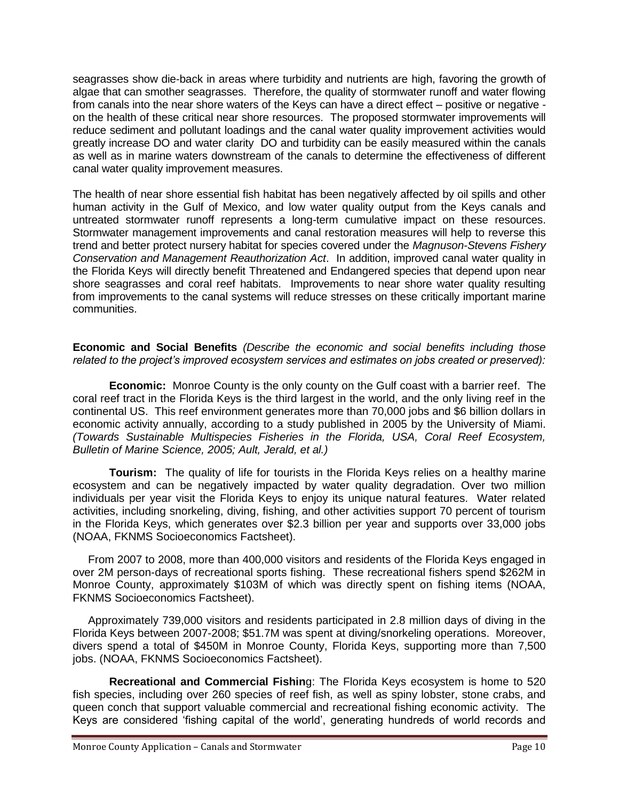seagrasses show die-back in areas where turbidity and nutrients are high, favoring the growth of algae that can smother seagrasses. Therefore, the quality of stormwater runoff and water flowing from canals into the near shore waters of the Keys can have a direct effect – positive or negative on the health of these critical near shore resources. The proposed stormwater improvements will reduce sediment and pollutant loadings and the canal water quality improvement activities would greatly increase DO and water clarity DO and turbidity can be easily measured within the canals as well as in marine waters downstream of the canals to determine the effectiveness of different canal water quality improvement measures.

The health of near shore essential fish habitat has been negatively affected by oil spills and other human activity in the Gulf of Mexico, and low water quality output from the Keys canals and untreated stormwater runoff represents a long-term cumulative impact on these resources. Stormwater management improvements and canal restoration measures will help to reverse this trend and better protect nursery habitat for species covered under the *Magnuson-Stevens Fishery Conservation and Management Reauthorization Act*. In addition, improved canal water quality in the Florida Keys will directly benefit Threatened and Endangered species that depend upon near shore seagrasses and coral reef habitats. Improvements to near shore water quality resulting from improvements to the canal systems will reduce stresses on these critically important marine communities.

**Economic and Social Benefits** *(Describe the economic and social benefits including those related to the project's improved ecosystem services and estimates on jobs created or preserved):*

**Economic:** Monroe County is the only county on the Gulf coast with a barrier reef. The coral reef tract in the Florida Keys is the third largest in the world, and the only living reef in the continental US. This reef environment generates more than 70,000 jobs and \$6 billion dollars in economic activity annually, according to a study published in 2005 by the University of Miami. *(Towards Sustainable Multispecies Fisheries in the Florida, USA, Coral Reef Ecosystem, Bulletin of Marine Science, 2005; Ault, Jerald, et al.)*

**Tourism:** The quality of life for tourists in the Florida Keys relies on a healthy marine ecosystem and can be negatively impacted by water quality degradation. Over two million individuals per year visit the Florida Keys to enjoy its unique natural features. Water related activities, including snorkeling, diving, fishing, and other activities support 70 percent of tourism in the Florida Keys, which generates over \$2.3 billion per year and supports over 33,000 jobs (NOAA, FKNMS Socioeconomics Factsheet).

 From 2007 to 2008, more than 400,000 visitors and residents of the Florida Keys engaged in over 2M person-days of recreational sports fishing. These recreational fishers spend \$262M in Monroe County, approximately \$103M of which was directly spent on fishing items (NOAA, FKNMS Socioeconomics Factsheet).

 Approximately 739,000 visitors and residents participated in 2.8 million days of diving in the Florida Keys between 2007-2008; \$51.7M was spent at diving/snorkeling operations. Moreover, divers spend a total of \$450M in Monroe County, Florida Keys, supporting more than 7,500 jobs. (NOAA, FKNMS Socioeconomics Factsheet).

**Recreational and Commercial Fishin**g: The Florida Keys ecosystem is home to 520 fish species, including over 260 species of reef fish, as well as spiny lobster, stone crabs, and queen conch that support valuable commercial and recreational fishing economic activity. The Keys are considered 'fishing capital of the world', generating hundreds of world records and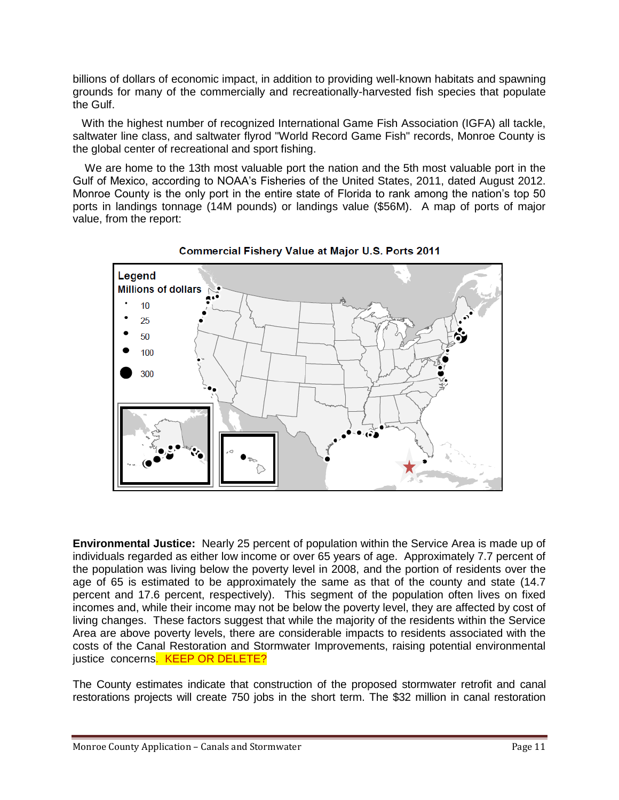billions of dollars of economic impact, in addition to providing well-known habitats and spawning grounds for many of the commercially and recreationally-harvested fish species that populate the Gulf.

 With the highest number of recognized International Game Fish Association (IGFA) all tackle, saltwater line class, and saltwater flyrod "World Record Game Fish" records, Monroe County is the global center of recreational and sport fishing.

 We are home to the 13th most valuable port the nation and the 5th most valuable port in the Gulf of Mexico, according to NOAA's Fisheries of the United States, 2011, dated August 2012. Monroe County is the only port in the entire state of Florida to rank among the nation's top 50 ports in landings tonnage (14M pounds) or landings value (\$56M). A map of ports of major value, from the report:





**Environmental Justice:** Nearly 25 percent of population within the Service Area is made up of individuals regarded as either low income or over 65 years of age. Approximately 7.7 percent of the population was living below the poverty level in 2008, and the portion of residents over the age of 65 is estimated to be approximately the same as that of the county and state (14.7 percent and 17.6 percent, respectively). This segment of the population often lives on fixed incomes and, while their income may not be below the poverty level, they are affected by cost of living changes. These factors suggest that while the majority of the residents within the Service Area are above poverty levels, there are considerable impacts to residents associated with the costs of the Canal Restoration and Stormwater Improvements, raising potential environmental justice concerns. KEEP OR DELETE?

The County estimates indicate that construction of the proposed stormwater retrofit and canal restorations projects will create 750 jobs in the short term. The \$32 million in canal restoration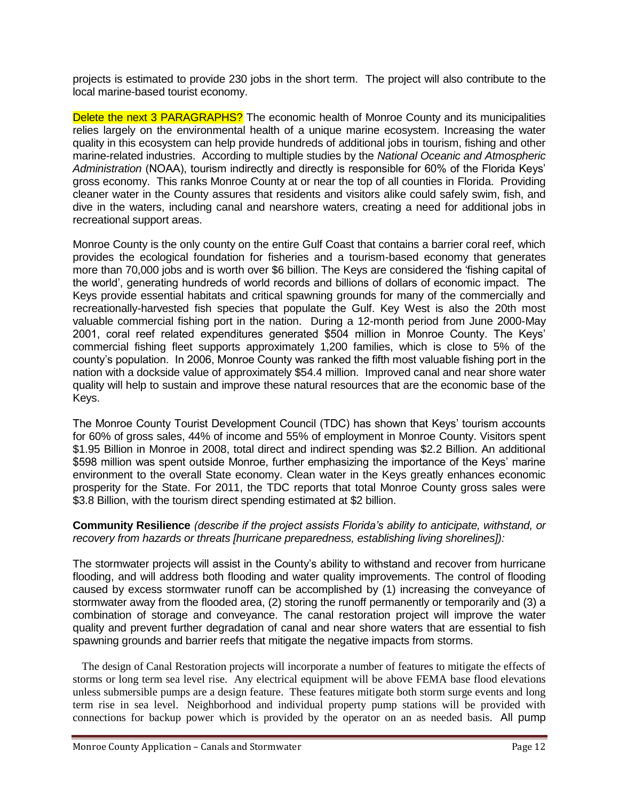projects is estimated to provide 230 jobs in the short term. The project will also contribute to the local marine-based tourist economy.

Delete the next 3 PARAGRAPHS? The economic health of Monroe County and its municipalities relies largely on the environmental health of a unique marine ecosystem. Increasing the water quality in this ecosystem can help provide hundreds of additional jobs in tourism, fishing and other marine-related industries. According to multiple studies by the *National Oceanic and Atmospheric Administration* (NOAA), tourism indirectly and directly is responsible for 60% of the Florida Keys' gross economy. This ranks Monroe County at or near the top of all counties in Florida. Providing cleaner water in the County assures that residents and visitors alike could safely swim, fish, and dive in the waters, including canal and nearshore waters, creating a need for additional jobs in recreational support areas.

Monroe County is the only county on the entire Gulf Coast that contains a barrier coral reef, which provides the ecological foundation for fisheries and a tourism-based economy that generates more than 70,000 jobs and is worth over \$6 billion. The Keys are considered the 'fishing capital of the world', generating hundreds of world records and billions of dollars of economic impact. The Keys provide essential habitats and critical spawning grounds for many of the commercially and recreationally-harvested fish species that populate the Gulf. Key West is also the 20th most valuable commercial fishing port in the nation. During a 12-month period from June 2000-May 2001, coral reef related expenditures generated \$504 million in Monroe County. The Keys' commercial fishing fleet supports approximately 1,200 families, which is close to 5% of the county's population. In 2006, Monroe County was ranked the fifth most valuable fishing port in the nation with a dockside value of approximately \$54.4 million. Improved canal and near shore water quality will help to sustain and improve these natural resources that are the economic base of the Keys.

The Monroe County Tourist Development Council (TDC) has shown that Keys' tourism accounts for 60% of gross sales, 44% of income and 55% of employment in Monroe County. Visitors spent \$1.95 Billion in Monroe in 2008, total direct and indirect spending was \$2.2 Billion. An additional \$598 million was spent outside Monroe, further emphasizing the importance of the Keys' marine environment to the overall State economy. Clean water in the Keys greatly enhances economic prosperity for the State. For 2011, the TDC reports that total Monroe County gross sales were \$3.8 Billion, with the tourism direct spending estimated at \$2 billion.

#### **Community Resilience** *(describe if the project assists Florida's ability to anticipate, withstand, or recovery from hazards or threats [hurricane preparedness, establishing living shorelines]):*

The stormwater projects will assist in the County's ability to withstand and recover from hurricane flooding, and will address both flooding and water quality improvements. The control of flooding caused by excess stormwater runoff can be accomplished by (1) increasing the conveyance of stormwater away from the flooded area, (2) storing the runoff permanently or temporarily and (3) a combination of storage and conveyance. The canal restoration project will improve the water quality and prevent further degradation of canal and near shore waters that are essential to fish spawning grounds and barrier reefs that mitigate the negative impacts from storms.

 The design of Canal Restoration projects will incorporate a number of features to mitigate the effects of storms or long term sea level rise. Any electrical equipment will be above FEMA base flood elevations unless submersible pumps are a design feature. These features mitigate both storm surge events and long term rise in sea level. Neighborhood and individual property pump stations will be provided with connections for backup power which is provided by the operator on an as needed basis. All pump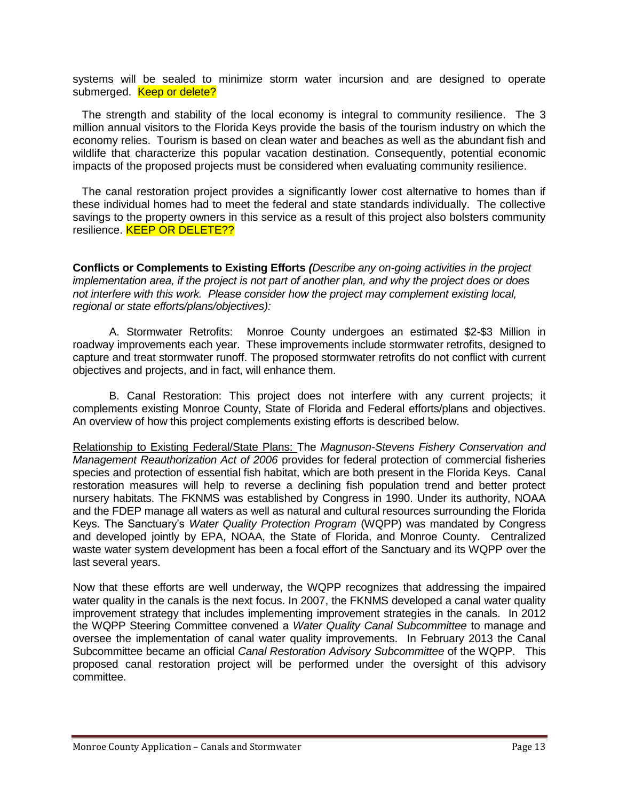systems will be sealed to minimize storm water incursion and are designed to operate submerged. Keep or delete?

 The strength and stability of the local economy is integral to community resilience. The 3 million annual visitors to the Florida Keys provide the basis of the tourism industry on which the economy relies. Tourism is based on clean water and beaches as well as the abundant fish and wildlife that characterize this popular vacation destination. Consequently, potential economic impacts of the proposed projects must be considered when evaluating community resilience.

 The canal restoration project provides a significantly lower cost alternative to homes than if these individual homes had to meet the federal and state standards individually. The collective savings to the property owners in this service as a result of this project also bolsters community resilience. **KEEP OR DELETE??** 

**Conflicts or Complements to Existing Efforts** *(Describe any on-going activities in the project implementation area, if the project is not part of another plan, and why the project does or does not interfere with this work. Please consider how the project may complement existing local, regional or state efforts/plans/objectives):* 

A. Stormwater Retrofits: Monroe County undergoes an estimated \$2-\$3 Million in roadway improvements each year. These improvements include stormwater retrofits, designed to capture and treat stormwater runoff. The proposed stormwater retrofits do not conflict with current objectives and projects, and in fact, will enhance them.

B. Canal Restoration: This project does not interfere with any current projects; it complements existing Monroe County, State of Florida and Federal efforts/plans and objectives. An overview of how this project complements existing efforts is described below.

Relationship to Existing Federal/State Plans: The *Magnuson-Stevens Fishery Conservation and Management Reauthorization Act of 2006* provides for federal protection of commercial fisheries species and protection of essential fish habitat, which are both present in the Florida Keys. Canal restoration measures will help to reverse a declining fish population trend and better protect nursery habitats. The FKNMS was established by Congress in 1990. Under its authority, NOAA and the FDEP manage all waters as well as natural and cultural resources surrounding the Florida Keys. The Sanctuary's *Water Quality Protection Program* (WQPP) was mandated by Congress and developed jointly by EPA, NOAA, the State of Florida, and Monroe County. Centralized waste water system development has been a focal effort of the Sanctuary and its WQPP over the last several years.

Now that these efforts are well underway, the WQPP recognizes that addressing the impaired water quality in the canals is the next focus. In 2007, the FKNMS developed a canal water quality improvement strategy that includes implementing improvement strategies in the canals. In 2012 the WQPP Steering Committee convened a *Water Quality Canal Subcommittee* to manage and oversee the implementation of canal water quality improvements. In February 2013 the Canal Subcommittee became an official *Canal Restoration Advisory Subcommittee* of the WQPP. This proposed canal restoration project will be performed under the oversight of this advisory committee.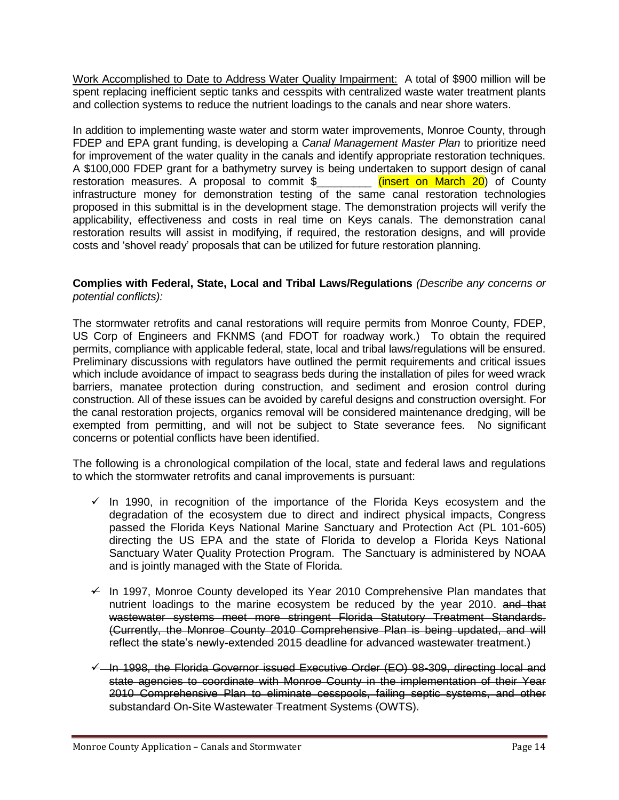Work Accomplished to Date to Address Water Quality Impairment: A total of \$900 million will be spent replacing inefficient septic tanks and cesspits with centralized waste water treatment plants and collection systems to reduce the nutrient loadings to the canals and near shore waters.

In addition to implementing waste water and storm water improvements, Monroe County, through FDEP and EPA grant funding, is developing a *Canal Management Master Plan* to prioritize need for improvement of the water quality in the canals and identify appropriate restoration techniques. A \$100,000 FDEP grant for a bathymetry survey is being undertaken to support design of canal restoration measures. A proposal to commit \$\_\_\_\_\_\_\_\_\_\_ (insert on March 20) of County infrastructure money for demonstration testing of the same canal restoration technologies proposed in this submittal is in the development stage. The demonstration projects will verify the applicability, effectiveness and costs in real time on Keys canals. The demonstration canal restoration results will assist in modifying, if required, the restoration designs, and will provide costs and 'shovel ready' proposals that can be utilized for future restoration planning.

#### **Complies with Federal, State, Local and Tribal Laws/Regulations** *(Describe any concerns or potential conflicts):*

The stormwater retrofits and canal restorations will require permits from Monroe County, FDEP, US Corp of Engineers and FKNMS (and FDOT for roadway work.) To obtain the required permits, compliance with applicable federal, state, local and tribal laws/regulations will be ensured. Preliminary discussions with regulators have outlined the permit requirements and critical issues which include avoidance of impact to seagrass beds during the installation of piles for weed wrack barriers, manatee protection during construction, and sediment and erosion control during construction. All of these issues can be avoided by careful designs and construction oversight. For the canal restoration projects, organics removal will be considered maintenance dredging, will be exempted from permitting, and will not be subject to State severance fees. No significant concerns or potential conflicts have been identified.

The following is a chronological compilation of the local, state and federal laws and regulations to which the stormwater retrofits and canal improvements is pursuant:

- $\checkmark$  In 1990, in recognition of the importance of the Florida Keys ecosystem and the degradation of the ecosystem due to direct and indirect physical impacts, Congress passed the Florida Keys National Marine Sanctuary and Protection Act (PL 101-605) directing the US EPA and the state of Florida to develop a Florida Keys National Sanctuary Water Quality Protection Program. The Sanctuary is administered by NOAA and is jointly managed with the State of Florida.
- $\neq$  In 1997, Monroe County developed its Year 2010 Comprehensive Plan mandates that nutrient loadings to the marine ecosystem be reduced by the year 2010. and that wastewater systems meet more stringent Florida Statutory Treatment Standards. (Currently, the Monroe County 2010 Comprehensive Plan is being updated, and will reflect the state's newly-extended 2015 deadline for advanced wastewater treatment.)
- $\overline{\leftarrow}$  In 1998, the Florida Governor issued Executive Order (EO) 98-309, directing local and state agencies to coordinate with Monroe County in the implementation of their Year 2010 Comprehensive Plan to eliminate cesspools, failing septic systems, and other substandard On-Site Wastewater Treatment Systems (OWTS).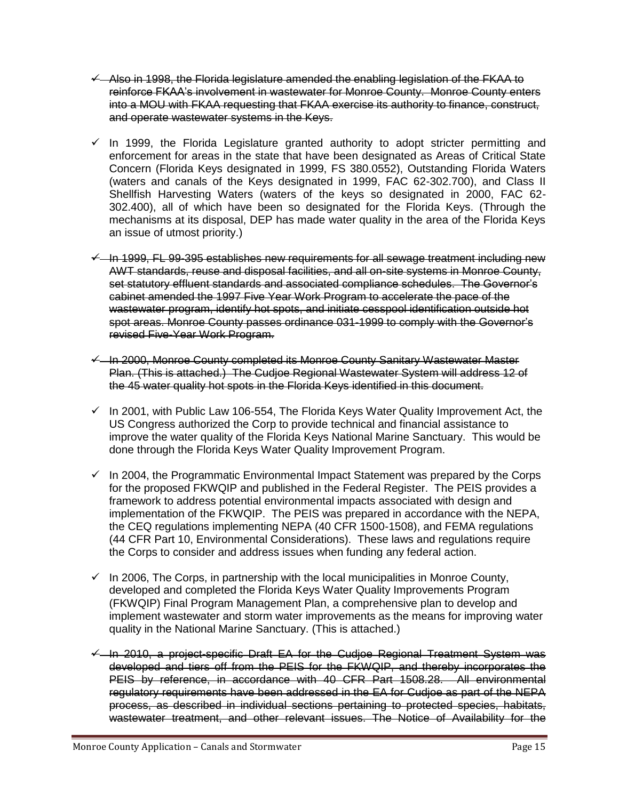- $\overline{Y}$  Also in 1998, the Florida legislature amended the enabling legislation of the FKAA to reinforce FKAA's involvement in wastewater for Monroe County. Monroe County enters into a MOU with FKAA requesting that FKAA exercise its authority to finance, construct, and operate wastewater systems in the Keys.
- $\checkmark$  In 1999, the Florida Legislature granted authority to adopt stricter permitting and enforcement for areas in the state that have been designated as Areas of Critical State Concern (Florida Keys designated in 1999, FS 380.0552), Outstanding Florida Waters (waters and canals of the Keys designated in 1999, FAC 62-302.700), and Class II Shellfish Harvesting Waters (waters of the keys so designated in 2000, FAC 62- 302.400), all of which have been so designated for the Florida Keys. (Through the mechanisms at its disposal, DEP has made water quality in the area of the Florida Keys an issue of utmost priority.)
- $\leftarrow$  In 1999, FL 99-395 establishes new requirements for all sewage treatment including new AWT standards, reuse and disposal facilities, and all on-site systems in Monroe County, set statutory effluent standards and associated compliance schedules. The Governor's cabinet amended the 1997 Five Year Work Program to accelerate the pace of the wastewater program, identify hot spots, and initiate cesspool identification outside hot spot areas. Monroe County passes ordinance 031-1999 to comply with the Governor's revised Five-Year Work Program.
- $\leftarrow$  In 2000, Monroe County completed its Monroe County Sanitary Wastewater Master Plan. (This is attached.) The Cudjoe Regional Wastewater System will address 12 of the 45 water quality hot spots in the Florida Keys identified in this document.
- $\checkmark$  In 2001, with Public Law 106-554, The Florida Keys Water Quality Improvement Act, the US Congress authorized the Corp to provide technical and financial assistance to improve the water quality of the Florida Keys National Marine Sanctuary. This would be done through the Florida Keys Water Quality Improvement Program.
- $\checkmark$  In 2004, the Programmatic Environmental Impact Statement was prepared by the Corps for the proposed FKWQIP and published in the Federal Register. The PEIS provides a framework to address potential environmental impacts associated with design and implementation of the FKWQIP. The PEIS was prepared in accordance with the NEPA, the CEQ regulations implementing NEPA (40 CFR 1500-1508), and FEMA regulations (44 CFR Part 10, Environmental Considerations). These laws and regulations require the Corps to consider and address issues when funding any federal action.
- $\checkmark$  In 2006, The Corps, in partnership with the local municipalities in Monroe County, developed and completed the Florida Keys Water Quality Improvements Program (FKWQIP) Final Program Management Plan, a comprehensive plan to develop and implement wastewater and storm water improvements as the means for improving water quality in the National Marine Sanctuary. (This is attached.)
- $\overline{+}$  In 2010, a project-specific Draft EA for the Cudjoe Regional Treatment System was developed and tiers off from the PEIS for the FKWQIP, and thereby incorporates the PEIS by reference, in accordance with 40 CFR Part 1508.28. All environmental regulatory requirements have been addressed in the EA for Cudjoe as part of the NEPA process, as described in individual sections pertaining to protected species, habitats, wastewater treatment, and other relevant issues. The Notice of Availability for the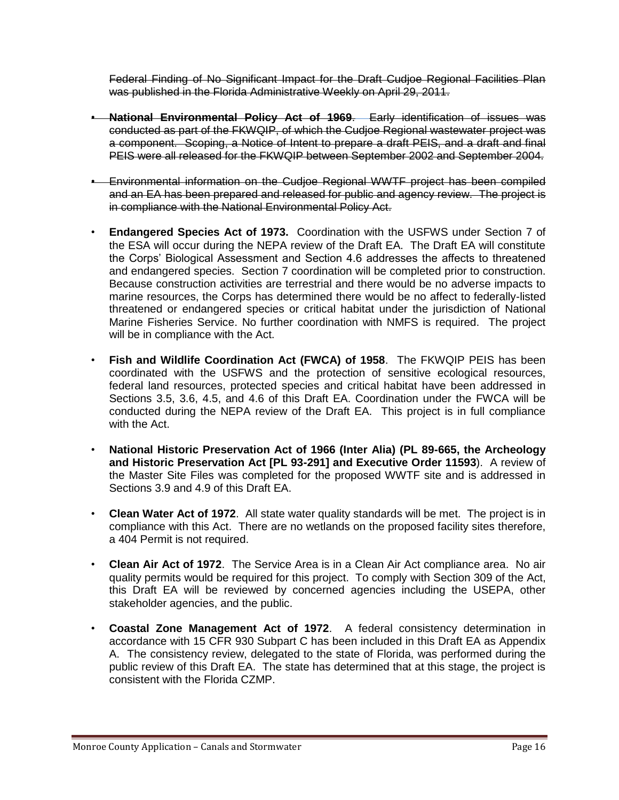Federal Finding of No Significant Impact for the Draft Cudjoe Regional Facilities Plan was published in the Florida Administrative Weekly on April 29, 2011.

- **National Environmental Policy Act of 1969**. Early identification of issues was conducted as part of the FKWQIP, of which the Cudjoe Regional wastewater project was a component. Scoping, a Notice of Intent to prepare a draft PEIS, and a draft and final PEIS were all released for the FKWQIP between September 2002 and September 2004.
- Environmental information on the Cudjoe Regional WWTF project has been compiled and an EA has been prepared and released for public and agency review. The project is in compliance with the National Environmental Policy Act.
- **Endangered Species Act of 1973.** Coordination with the USFWS under Section 7 of the ESA will occur during the NEPA review of the Draft EA. The Draft EA will constitute the Corps' Biological Assessment and Section 4.6 addresses the affects to threatened and endangered species. Section 7 coordination will be completed prior to construction. Because construction activities are terrestrial and there would be no adverse impacts to marine resources, the Corps has determined there would be no affect to federally-listed threatened or endangered species or critical habitat under the jurisdiction of National Marine Fisheries Service. No further coordination with NMFS is required. The project will be in compliance with the Act.
- **Fish and Wildlife Coordination Act (FWCA) of 1958**. The FKWQIP PEIS has been coordinated with the USFWS and the protection of sensitive ecological resources, federal land resources, protected species and critical habitat have been addressed in Sections 3.5, 3.6, 4.5, and 4.6 of this Draft EA. Coordination under the FWCA will be conducted during the NEPA review of the Draft EA. This project is in full compliance with the Act.
- **National Historic Preservation Act of 1966 (Inter Alia) (PL 89-665, the Archeology and Historic Preservation Act [PL 93-291] and Executive Order 11593**). A review of the Master Site Files was completed for the proposed WWTF site and is addressed in Sections 3.9 and 4.9 of this Draft EA.
- **Clean Water Act of 1972**. All state water quality standards will be met. The project is in compliance with this Act. There are no wetlands on the proposed facility sites therefore, a 404 Permit is not required.
- **Clean Air Act of 1972**. The Service Area is in a Clean Air Act compliance area. No air quality permits would be required for this project. To comply with Section 309 of the Act, this Draft EA will be reviewed by concerned agencies including the USEPA, other stakeholder agencies, and the public.
- **Coastal Zone Management Act of 1972**. A federal consistency determination in accordance with 15 CFR 930 Subpart C has been included in this Draft EA as Appendix A. The consistency review, delegated to the state of Florida, was performed during the public review of this Draft EA. The state has determined that at this stage, the project is consistent with the Florida CZMP.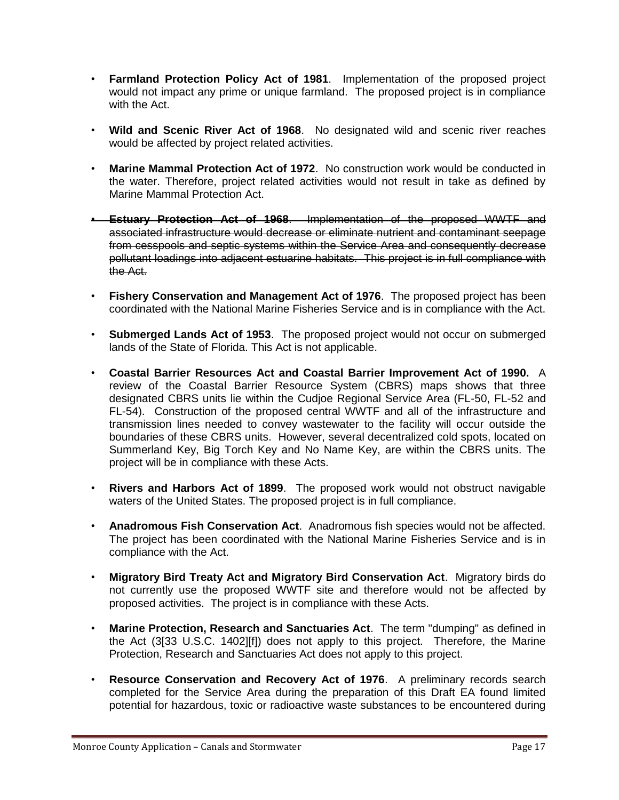- **Farmland Protection Policy Act of 1981**. Implementation of the proposed project would not impact any prime or unique farmland. The proposed project is in compliance with the Act.
- **Wild and Scenic River Act of 1968**. No designated wild and scenic river reaches would be affected by project related activities.
- **Marine Mammal Protection Act of 1972**. No construction work would be conducted in the water. Therefore, project related activities would not result in take as defined by Marine Mammal Protection Act.
- **Estuary Protection Act of 1968**. Implementation of the proposed WWTF and associated infrastructure would decrease or eliminate nutrient and contaminant seepage from cesspools and septic systems within the Service Area and consequently decrease pollutant loadings into adjacent estuarine habitats. This project is in full compliance with the Act.
- **Fishery Conservation and Management Act of 1976**. The proposed project has been coordinated with the National Marine Fisheries Service and is in compliance with the Act.
- **Submerged Lands Act of 1953**. The proposed project would not occur on submerged lands of the State of Florida. This Act is not applicable.
- **Coastal Barrier Resources Act and Coastal Barrier Improvement Act of 1990.** A review of the Coastal Barrier Resource System (CBRS) maps shows that three designated CBRS units lie within the Cudjoe Regional Service Area (FL-50, FL-52 and FL-54). Construction of the proposed central WWTF and all of the infrastructure and transmission lines needed to convey wastewater to the facility will occur outside the boundaries of these CBRS units. However, several decentralized cold spots, located on Summerland Key, Big Torch Key and No Name Key, are within the CBRS units. The project will be in compliance with these Acts.
- **Rivers and Harbors Act of 1899**. The proposed work would not obstruct navigable waters of the United States. The proposed project is in full compliance.
- **Anadromous Fish Conservation Act**. Anadromous fish species would not be affected. The project has been coordinated with the National Marine Fisheries Service and is in compliance with the Act.
- **Migratory Bird Treaty Act and Migratory Bird Conservation Act**. Migratory birds do not currently use the proposed WWTF site and therefore would not be affected by proposed activities. The project is in compliance with these Acts.
- **Marine Protection, Research and Sanctuaries Act**. The term "dumping" as defined in the Act (3[33 U.S.C. 1402][f]) does not apply to this project. Therefore, the Marine Protection, Research and Sanctuaries Act does not apply to this project.
- **Resource Conservation and Recovery Act of 1976**. A preliminary records search completed for the Service Area during the preparation of this Draft EA found limited potential for hazardous, toxic or radioactive waste substances to be encountered during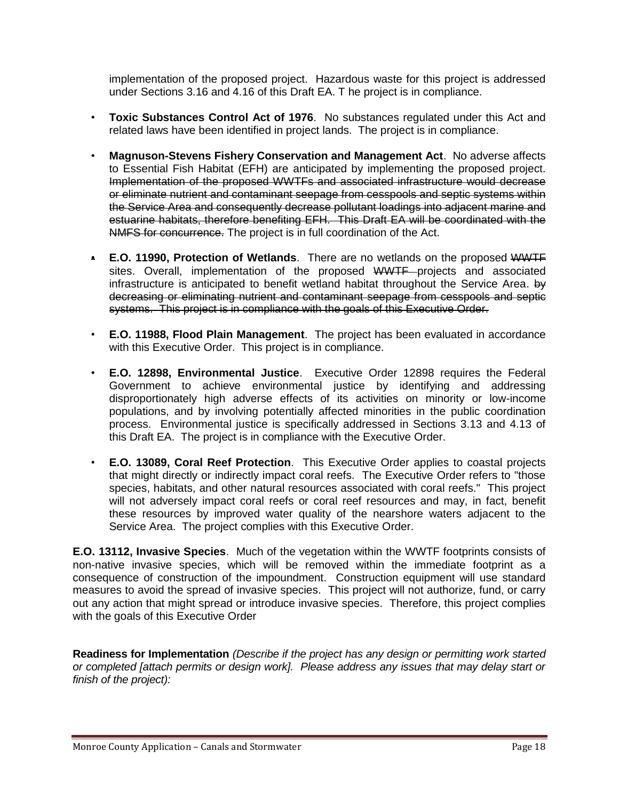implementation of the proposed project. Hazardous waste for this project is addressed under Sections 3.16 and 4.16 of this Draft EA. T he project is in compliance.

- **Toxic Substances Control Act of 1976**. No substances regulated under this Act and related laws have been identified in project lands. The project is in compliance.
- **Magnuson-Stevens Fishery Conservation and Management Act**. No adverse affects to Essential Fish Habitat (EFH) are anticipated by implementing the proposed project. Implementation of the proposed WWTFs and associated infrastructure would decrease or eliminate nutrient and contaminant seepage from cesspools and septic systems within the Service Area and consequently decrease pollutant loadings into adjacent marine and estuarine habitats, therefore benefiting EFH. This Draft EA will be coordinated with the NMFS for concurrence. The project is in full coordination of the Act.
- **E.O. 11990, Protection of Wetlands**. There are no wetlands on the proposed WWTF sites. Overall, implementation of the proposed WWTF projects and associated infrastructure is anticipated to benefit wetland habitat throughout the Service Area. by decreasing or eliminating nutrient and contaminant seepage from cesspools and septic systems. This project is in compliance with the goals of this Executive Order.
- **E.O. 11988, Flood Plain Management**. The project has been evaluated in accordance with this Executive Order. This project is in compliance.
- **E.O. 12898, Environmental Justice**. Executive Order 12898 requires the Federal Government to achieve environmental justice by identifying and addressing disproportionately high adverse effects of its activities on minority or low-income populations, and by involving potentially affected minorities in the public coordination process. Environmental justice is specifically addressed in Sections 3.13 and 4.13 of this Draft EA. The project is in compliance with the Executive Order.
- **E.O. 13089, Coral Reef Protection**. This Executive Order applies to coastal projects that might directly or indirectly impact coral reefs. The Executive Order refers to "those species, habitats, and other natural resources associated with coral reefs." This project will not adversely impact coral reefs or coral reef resources and may, in fact, benefit these resources by improved water quality of the nearshore waters adjacent to the Service Area. The project complies with this Executive Order.

**E.O. 13112, Invasive Species**. Much of the vegetation within the WWTF footprints consists of non-native invasive species, which will be removed within the immediate footprint as a consequence of construction of the impoundment. Construction equipment will use standard measures to avoid the spread of invasive species. This project will not authorize, fund, or carry out any action that might spread or introduce invasive species. Therefore, this project complies with the goals of this Executive Order

**Readiness for Implementation** *(Describe if the project has any design or permitting work started or completed [attach permits or design work]. Please address any issues that may delay start or finish of the project):*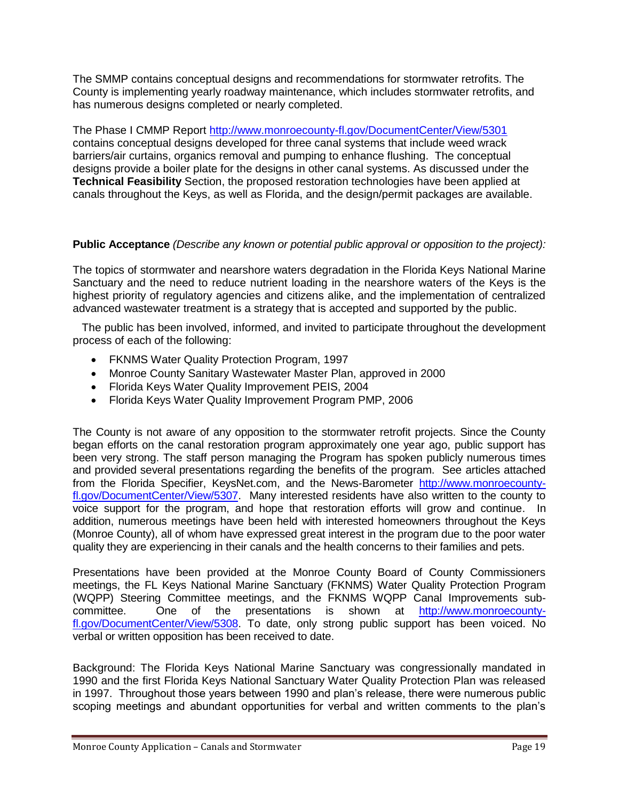The SMMP contains conceptual designs and recommendations for stormwater retrofits. The County is implementing yearly roadway maintenance, which includes stormwater retrofits, and has numerous designs completed or nearly completed.

The Phase I CMMP Report<http://www.monroecounty-fl.gov/DocumentCenter/View/5301> contains conceptual designs developed for three canal systems that include weed wrack barriers/air curtains, organics removal and pumping to enhance flushing. The conceptual designs provide a boiler plate for the designs in other canal systems. As discussed under the **Technical Feasibility** Section, the proposed restoration technologies have been applied at canals throughout the Keys, as well as Florida, and the design/permit packages are available.

# **Public Acceptance** *(Describe any known or potential public approval or opposition to the project):*

The topics of stormwater and nearshore waters degradation in the Florida Keys National Marine Sanctuary and the need to reduce nutrient loading in the nearshore waters of the Keys is the highest priority of regulatory agencies and citizens alike, and the implementation of centralized advanced wastewater treatment is a strategy that is accepted and supported by the public.

 The public has been involved, informed, and invited to participate throughout the development process of each of the following:

- FKNMS Water Quality Protection Program, 1997
- Monroe County Sanitary Wastewater Master Plan, approved in 2000
- Florida Keys Water Quality Improvement PEIS, 2004
- Florida Keys Water Quality Improvement Program PMP, 2006

The County is not aware of any opposition to the stormwater retrofit projects. Since the County began efforts on the canal restoration program approximately one year ago, public support has been very strong. The staff person managing the Program has spoken publicly numerous times and provided several presentations regarding the benefits of the program. See articles attached from the Florida Specifier, KeysNet.com, and the News-Barometer [http://www.monroecounty](http://www.monroecounty-fl.gov/DocumentCenter/View/5307)[fl.gov/DocumentCenter/View/5307.](http://www.monroecounty-fl.gov/DocumentCenter/View/5307) Many interested residents have also written to the county to voice support for the program, and hope that restoration efforts will grow and continue. In addition, numerous meetings have been held with interested homeowners throughout the Keys (Monroe County), all of whom have expressed great interest in the program due to the poor water quality they are experiencing in their canals and the health concerns to their families and pets.

Presentations have been provided at the Monroe County Board of County Commissioners meetings, the FL Keys National Marine Sanctuary (FKNMS) Water Quality Protection Program (WQPP) Steering Committee meetings, and the FKNMS WQPP Canal Improvements subcommittee. One of the presentations is shown at [http://www.monroecounty](http://www.monroecounty-fl.gov/DocumentCenter/View/5308)[fl.gov/DocumentCenter/View/5308.](http://www.monroecounty-fl.gov/DocumentCenter/View/5308) To date, only strong public support has been voiced. No verbal or written opposition has been received to date.

Background: The Florida Keys National Marine Sanctuary was congressionally mandated in 1990 and the first Florida Keys National Sanctuary Water Quality Protection Plan was released in 1997. Throughout those years between 1990 and plan's release, there were numerous public scoping meetings and abundant opportunities for verbal and written comments to the plan's